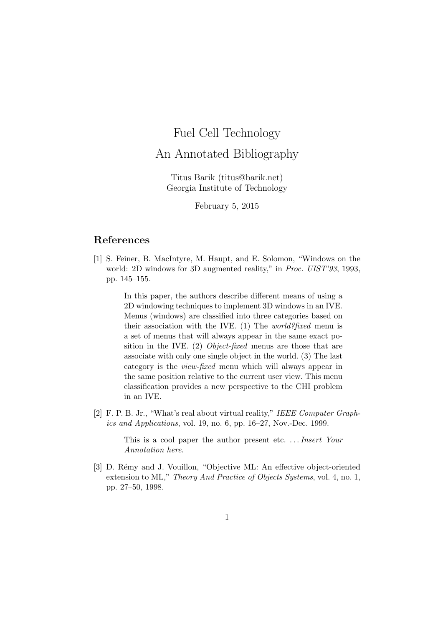## Fuel Cell Technology

## An Annotated Bibliography

Titus Barik (titus@barik.net) Georgia Institute of Technology

February 5, 2015

## References

[1] S. Feiner, B. MacIntyre, M. Haupt, and E. Solomon, "Windows on the world: 2D windows for 3D augmented reality," in *Proc. UIST'93*, 1993, pp. 145–155.

> In this paper, the authors describe different means of using a 2D windowing techniques to implement 3D windows in an IVE. Menus (windows) are classified into three categories based on their association with the IVE. (1) The *world?fixed* menu is a set of menus that will always appear in the same exact position in the IVE. (2) Object-fixed menus are those that are associate with only one single object in the world. (3) The last category is the view-fixed menu which will always appear in the same position relative to the current user view. This menu classification provides a new perspective to the CHI problem in an IVE.

[2] F. P. B. Jr., "What's real about virtual reality," IEEE Computer Graphics and Applications, vol. 19, no. 6, pp. 16–27, Nov.-Dec. 1999.

> This is a cool paper the author present etc.... *Insert Your* Annotation here.

[3] D. Rémy and J. Vouillon, "Objective ML: An effective object-oriented extension to ML," Theory And Practice of Objects Systems, vol. 4, no. 1, pp. 27–50, 1998.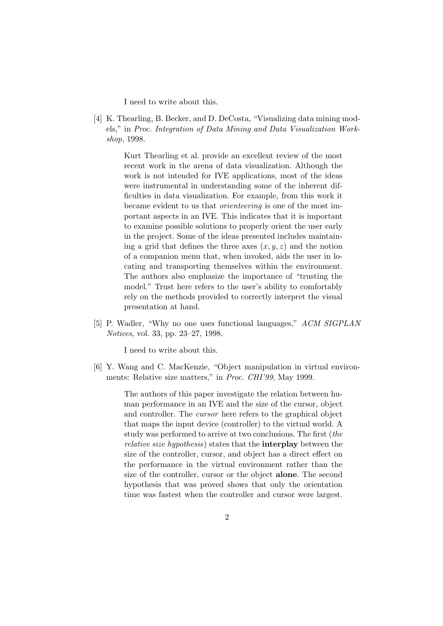I need to write about this.

[4] K. Thearling, B. Becker, and D. DeCosta, "Visualizing data mining models," in Proc. Integration of Data Mining and Data Visualization Workshop, 1998.

> Kurt Thearling et al. provide an excellent review of the most recent work in the arena of data visualization. Although the work is not intended for IVE applications, most of the ideas were instrumental in understanding some of the inherent difficulties in data visualization. For example, from this work it became evident to us that orienteering is one of the most important aspects in an IVE. This indicates that it is important to examine possible solutions to properly orient the user early in the project. Some of the ideas presented includes maintaining a grid that defines the three axes  $(x, y, z)$  and the notion of a companion menu that, when invoked, aids the user in locating and transporting themselves within the environment. The authors also emphasize the importance of "trusting the model." Trust here refers to the user's ability to comfortably rely on the methods provided to correctly interpret the visual presentation at hand.

[5] P. Wadler, "Why no one uses functional languages," ACM SIGPLAN Notices, vol. 33, pp. 23–27, 1998.

I need to write about this.

[6] Y. Wang and C. MacKenzie, "Object manipulation in virtual environments: Relative size matters," in *Proc. CHI'99*, May 1999.

> The authors of this paper investigate the relation between human performance in an IVE and the size of the cursor, object and controller. The cursor here refers to the graphical object that maps the input device (controller) to the virtual world. A study was performed to arrive at two conclusions. The first (the relative size hypothesis) states that the interplay between the size of the controller, cursor, and object has a direct effect on the performance in the virtual environment rather than the size of the controller, cursor or the object alone. The second hypothesis that was proved shows that only the orientation time was fastest when the controller and cursor were largest.